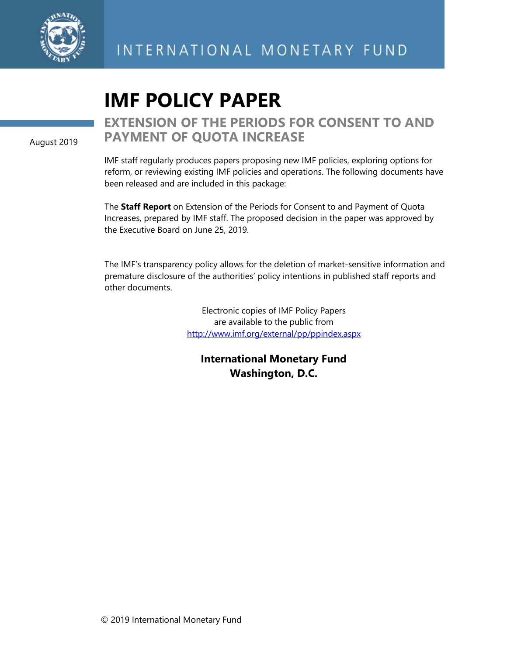

# **IMF POLICY PAPER**

August 2019

# **EXTENSION OF THE PERIODS FOR CONSENT TO AND PAYMENT OF QUOTA INCREASE**

IMF staff regularly produces papers proposing new IMF policies, exploring options for reform, or reviewing existing IMF policies and operations. The following documents have been released and are included in this package:

The **Staff Report** on Extension of the Periods for Consent to and Payment of Quota Increases, prepared by IMF staff. The proposed decision in the paper was approved by the Executive Board on June 25, 2019.

The IMF's transparency policy allows for the deletion of market-sensitive information and premature disclosure of the authorities' policy intentions in published staff reports and other documents.

> Electronic copies of IMF Policy Papers are available to the public from <http://www.imf.org/external/pp/ppindex.aspx>

**International Monetary Fund Washington, D.C.**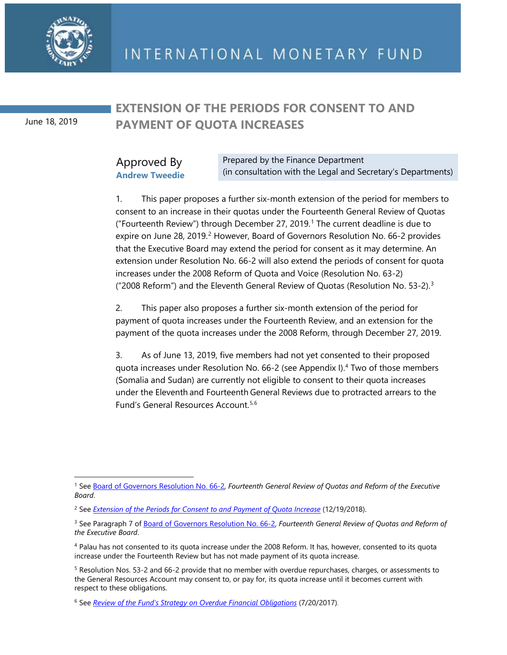

June 18, 2019

## **EXTENSION OF THE PERIODS FOR CONSENT TO AND PAYMENT OF QUOTA INCREASES**

## Approved By **Andrew Tweedie**

Prepared by the Finance Department (in consultation with the Legal and Secretary's Departments)

1. This paper proposes a further six-month extension of the period for members to consent to an increase in their quotas under the Fourteenth General Review of Quotas ("Fourteenth Review") through December 27, 2019. [1](#page-1-0) The current deadline is due to expire on June [2](#page-1-1)8, 2019.<sup>2</sup> However, Board of Governors Resolution No. 66-2 provides that the Executive Board may extend the period for consent as it may determine. An extension under Resolution No. 66-2 will also extend the periods of consent for quota increases under the 2008 Reform of Quota and Voice (Resolution No. 63-2) ("2008 Reform") and the Eleventh General Review of Quotas (Resolution No. 53-2).[3](#page-1-2)

2. This paper also proposes a further six-month extension of the period for payment of quota increases under the Fourteenth Review, and an extension for the payment of the quota increases under the 2008 Reform, through December 27, 2019.

3. As of June 13, 2019, five members had not yet consented to their proposed quota increases under Resolution No. 66-2 (see Appendix I).[4](#page-1-3) Two of those members (Somalia and Sudan) are currently not eligible to consent to their quota increases under the Eleventh and Fourteenth General Reviews due to protracted arrears to the Fund's General Resources Account.[5](#page-1-4),[6](#page-1-5)

<span id="page-1-0"></span> $\overline{a}$ <sup>1</sup> See [Board of Governors Resolution No. 66-2,](http://www.imf.org/external/SelectedDecisions/Description.aspx?decision=66-2) *Fourteenth General Review of Quotas and Reform of the Executive Board*.

<span id="page-1-1"></span><sup>2</sup> See *[Extension of the Periods for Consent to and Payment of Quota Increase](https://www.imf.org/en/Publications/Policy-Papers/Issues/2019/01/09/pp121918extension-of-the-periods-for-consent-to-and-payment-of-quota-increases)* (12/19/2018).

<span id="page-1-2"></span><sup>&</sup>lt;sup>3</sup> See Paragraph 7 of **Board of Governors Resolution No. 66-2**, *Fourteenth General Review of Quotas and Reform of the Executive Board*.

<span id="page-1-3"></span><sup>4</sup> Palau has not consented to its quota increase under the 2008 Reform. It has, however, consented to its quota increase under the Fourteenth Review but has not made payment of its quota increase.

<span id="page-1-4"></span><sup>5</sup> Resolution Nos. 53-2 and 66-2 provide that no member with overdue repurchases, charges, or assessments to the General Resources Account may consent to, or pay for, its quota increase until it becomes current with respect to these obligations.

<span id="page-1-5"></span><sup>6</sup> See *[Review of the Fund's Strategy on Overdue Financial Obligations](https://www.imf.org/%7E/media/Files/Publications/PP/2017/pp072017-review-of-the-funds-strategy-on-overdue-financial-obligations.ashx)* (7/20/2017)*.*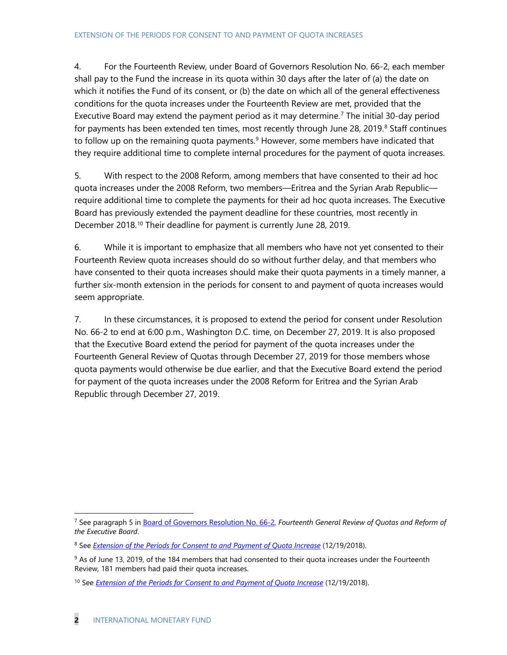4. For the Fourteenth Review, under Board of Governors Resolution No. 66-2, each member shall pay to the Fund the increase in its quota within 30 days after the later of (a) the date on which it notifies the Fund of its consent, or (b) the date on which all of the general effectiveness conditions for the quota increases under the Fourteenth Review are met, provided that the Executive Board may extend the payment period as it may determine.<sup>[7](#page-2-0)</sup> The initial 30-day period for payments has been extended ten times, most recently through June 28, 2019. [8](#page-2-1) Staff continues to follow up on the remaining quota payments.<sup>[9](#page-2-2)</sup> However, some members have indicated that they require additional time to complete internal procedures for the payment of quota increases.

5. With respect to the 2008 Reform, among members that have consented to their ad hoc quota increases under the 2008 Reform, two members—Eritrea and the Syrian Arab Republic require additional time to complete the payments for their ad hoc quota increases. The Executive Board has previously extended the payment deadline for these countries, most recently in December 2018. [10](#page-2-3) Their deadline for payment is currently June 28, 2019.

6. While it is important to emphasize that all members who have not yet consented to their Fourteenth Review quota increases should do so without further delay, and that members who have consented to their quota increases should make their quota payments in a timely manner, a further six-month extension in the periods for consent to and payment of quota increases would seem appropriate.

7. In these circumstances, it is proposed to extend the period for consent under Resolution No. 66-2 to end at 6:00 p.m., Washington D.C. time, on December 27, 2019. It is also proposed that the Executive Board extend the period for payment of the quota increases under the Fourteenth General Review of Quotas through December 27, 2019 for those members whose quota payments would otherwise be due earlier, and that the Executive Board extend the period for payment of the quota increases under the 2008 Reform for Eritrea and the Syrian Arab Republic through December 27, 2019.

<span id="page-2-0"></span> $\overline{a}$ <sup>7</sup> See paragraph 5 in [Board of Governors Resolution No. 66-2,](http://www.imf.org/external/SelectedDecisions/Description.aspx?decision=66-2) *Fourteenth General Review of Quotas and Reform of the Executive Board*.

<span id="page-2-1"></span><sup>8</sup> See *[Extension of the Periods for Consent to and Payment of Quota Increase](https://www.imf.org/en/Publications/Policy-Papers/Issues/2019/01/09/pp121918extension-of-the-periods-for-consent-to-and-payment-of-quota-increases)* (12/19/2018).

<span id="page-2-2"></span> $9$  As of June 13, 2019, of the 184 members that had consented to their quota increases under the Fourteenth Review, 181 members had paid their quota increases.

<span id="page-2-3"></span><sup>10</sup> See *[Extension of the Periods for Consent to and Payment of Quota Increase](https://www.imf.org/en/Publications/Policy-Papers/Issues/2019/01/09/pp121918extension-of-the-periods-for-consent-to-and-payment-of-quota-increases)* (12/19/2018).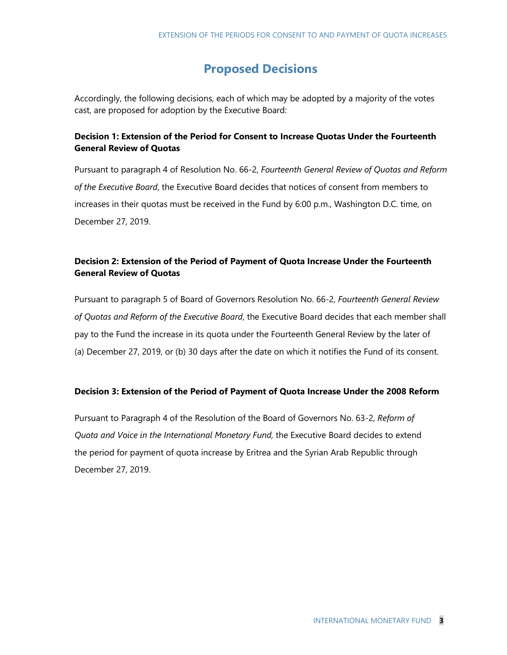## **Proposed Decisions**

Accordingly, the following decisions, each of which may be adopted by a majority of the votes cast, are proposed for adoption by the Executive Board:

### **Decision 1: Extension of the Period for Consent to Increase Quotas Under the Fourteenth General Review of Quotas**

Pursuant to paragraph 4 of Resolution No. 66-2, *Fourteenth General Review of Quotas and Reform of the Executive Board*, the Executive Board decides that notices of consent from members to increases in their quotas must be received in the Fund by 6:00 p.m., Washington D.C. time, on December 27, 2019.

### **Decision 2: Extension of the Period of Payment of Quota Increase Under the Fourteenth General Review of Quotas**

Pursuant to paragraph 5 of Board of Governors Resolution No. 66-2, *Fourteenth General Review of Quotas and Reform of the Executive Board*, the Executive Board decides that each member shall pay to the Fund the increase in its quota under the Fourteenth General Review by the later of (a) December 27, 2019, or (b) 30 days after the date on which it notifies the Fund of its consent.

#### **Decision 3: Extension of the Period of Payment of Quota Increase Under the 2008 Reform**

Pursuant to Paragraph 4 of the Resolution of the Board of Governors No. 63-2, *Reform of Quota and Voice in the International Monetary Fund,* the Executive Board decides to extend the period for payment of quota increase by Eritrea and the Syrian Arab Republic through December 27, 2019.